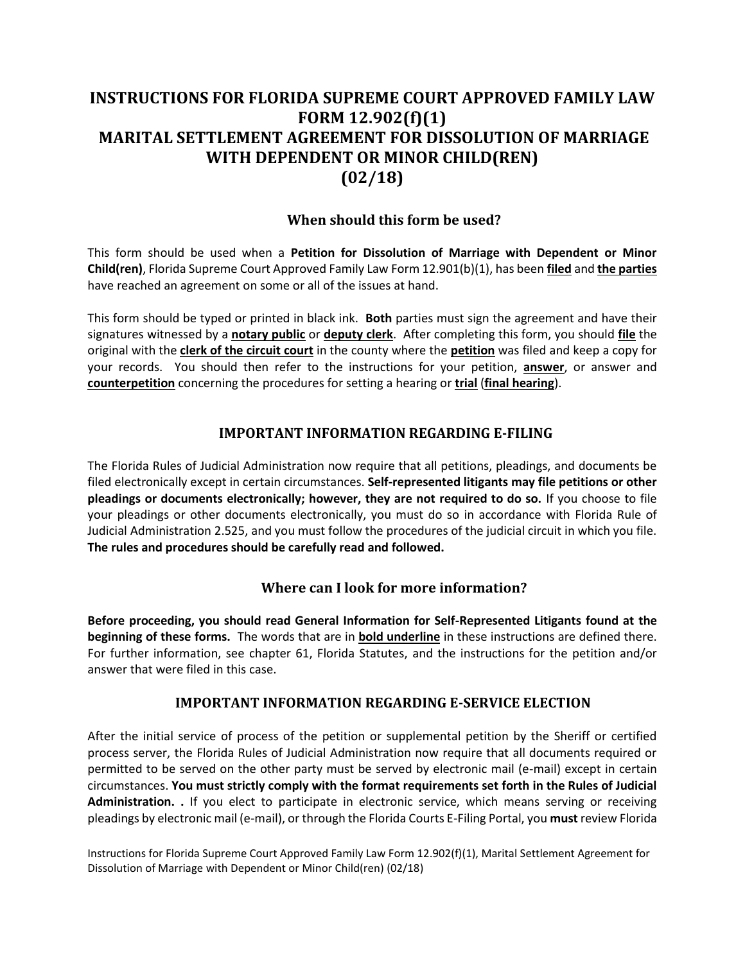# **MARITAL SETTLEMENT AGREEMENT FOR DISSOLUTION OF MARRIAGE WITH DEPENDENT OR MINOR CHILD(REN) INSTRUCTIONS FOR FLORIDA SUPREME COURT APPROVED FAMILY LAW FORM 12.902(f)(1) (02/18)**

# **When should this form be used?**

 This form should be used when a **Petition for Dissolution of Marriage with Dependent or Minor Child(ren)**, Florida Supreme Court Approved Family Law Form 12.901(b)(1), has been **filed** and **the parties**  have reached an agreement on some or all of the issues at hand.

 This form should be typed or printed in black ink. **Both** parties must sign the agreement and have their signatures witnessed by a **notary public** or **deputy clerk**. After completing this form, you should **file** the original with the **clerk of the circuit court** in the county where the **petition** was filed and keep a copy for your records. You should then refer to the instructions for your petition, **answer**, or answer and **counterpetition** concerning the procedures for setting a hearing or **trial** (**final hearing**).

## **IMPORTANT INFORMATION REGARDING E-FILING**

 The Florida Rules of Judicial Administration now require that all petitions, pleadings, and documents be  **pleadings or documents electronically; however, they are not required to do so.** If you choose to file your pleadings or other documents electronically, you must do so in accordance with Florida Rule of Judicial Administration 2.525, and you must follow the procedures of the judicial circuit in which you file. filed electronically except in certain circumstances. **Self-represented litigants may file petitions or other The rules and procedures should be carefully read and followed.** 

## **Where can I look for more information?**

 **Before proceeding, you should read General Information for Self-Represented Litigants found at the beginning of these forms.** The words that are in **bold underline** in these instructions are defined there. For further information, see chapter 61, Florida Statutes, and the instructions for the petition and/or answer that were filed in this case.

#### **IMPORTANT INFORMATION REGARDING E-SERVICE ELECTION**

 After the initial service of process of the petition or supplemental petition by the Sheriff or certified process server, the Florida Rules of Judicial Administration now require that all documents required or permitted to be served on the other party must be served by electronic mail (e-mail) except in certain  circumstances. **You must strictly comply with the format requirements set forth in the Rules of Judicial Administration. .** If you elect to participate in electronic service, which means serving or receiving pleadings by electronic mail (e-mail), or through the Florida Courts E-Filing Portal, you **must** review Florida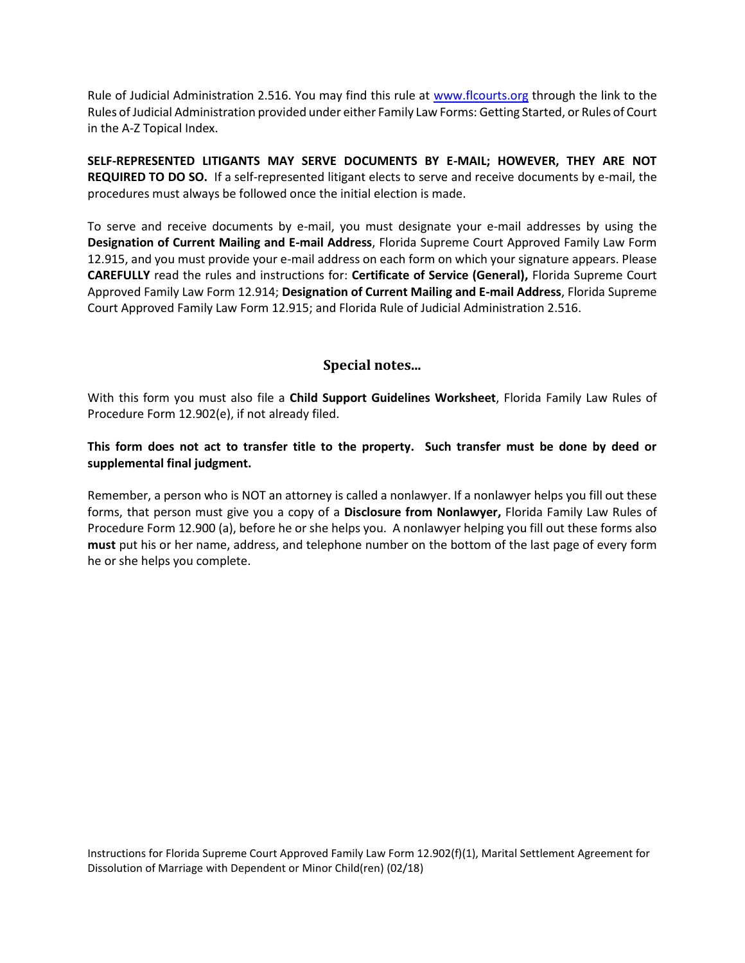Rule of Judicial Administration 2.516. You may find this rule at **www.flcourts.org** through the link to the Rules of Judicial Administration provided under either Family Law Forms: Getting Started, or Rules of Court in the A-Z Topical Index.

 **SELF-REPRESENTED LITIGANTS MAY SERVE DOCUMENTS BY E-MAIL; HOWEVER, THEY ARE NOT REQUIRED TO DO SO.** If a self-represented litigant elects to serve and receive documents by e-mail, the procedures must always be followed once the initial election is made.

 To serve and receive documents by e-mail, you must designate your e-mail addresses by using the  **Designation of Current Mailing and E-mail Address**, Florida Supreme Court Approved Family Law Form 12.915, and you must provide your e-mail address on each form on which your signature appears. Please **CAREFULLY** read the rules and instructions for: **Certificate of Service (General),** Florida Supreme Court Approved Family Law Form 12.914; **Designation of Current Mailing and E-mail Address**, Florida Supreme Court Approved Family Law Form 12.915; and Florida Rule of Judicial Administration 2.516.

# **Special notes...**

 With this form you must also file a **Child Support Guidelines Worksheet**, Florida Family Law Rules of Procedure Form 12.902(e), if not already filed.

 **This form does not act to transfer title to the property. Such transfer must be done by deed or supplemental final judgment.** 

 Remember, a person who is NOT an attorney is called a nonlawyer. If a nonlawyer helps you fill out these forms, that person must give you a copy of a **Disclosure from Nonlawyer,** Florida Family Law Rules of Procedure Form 12.900 (a), before he or she helps you. A nonlawyer helping you fill out these forms also **must** put his or her name, address, and telephone number on the bottom of the last page of every form he or she helps you complete.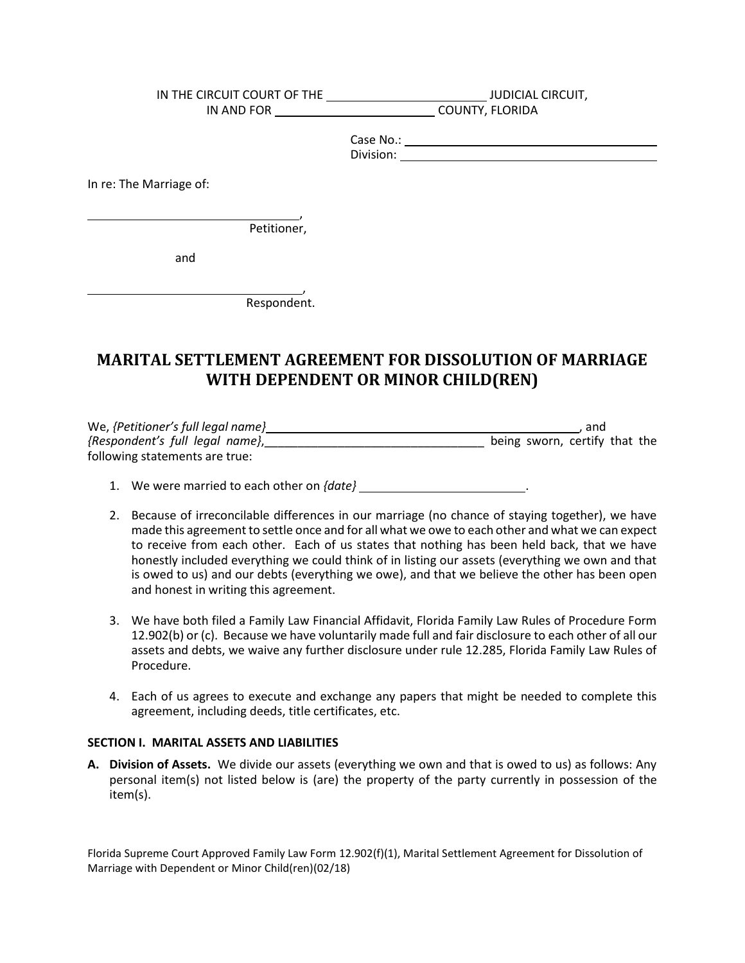| IN THE CIRCUIT COURT OF THE |                 | <b>JUDICIAL CIRCUIT,</b> |
|-----------------------------|-----------------|--------------------------|
| IN AND FOR                  | COUNTY, FLORIDA |                          |

 

Case No.:<br>\_ Division: \_<br>In re: The Marriage of:

L

L

, Petitioner,

and

, Respondent.

# **MARITAL SETTLEMENT AGREEMENT FOR DISSOLUTION OF MARRIAGE WITH DEPENDENT OR MINOR CHILD(REN)**

| We, {Petitioner's full legal name} |  |                               | and |  |
|------------------------------------|--|-------------------------------|-----|--|
| {Respondent's full legal name},    |  | being sworn, certify that the |     |  |
| following statements are true:     |  |                               |     |  |

1. We were married to each other on *{date}* .

- 2. Because of irreconcilable differences in our marriage (no chance of staying together), we have made this agreement to settle once and for all what we owe to each other and what we can expect to receive from each other. Each of us states that nothing has been held back, that we have honestly included everything we could think of in listing our assets (everything we own and that is owed to us) and our debts (everything we owe), and that we believe the other has been open and honest in writing this agreement.
- 3. We have both filed a Family Law Financial Affidavit, Florida Family Law Rules of Procedure Form 12.902(b) or (c). Because we have voluntarily made full and fair disclosure to each other of all our assets and debts, we waive any further disclosure under rule 12.285, Florida Family Law Rules of Procedure.
- 4. Each of us agrees to execute and exchange any papers that might be needed to complete this agreement, including deeds, title certificates, etc.

#### **SECTION I. MARITAL ASSETS AND LIABILITIES**

 **A. Division of Assets.** We divide our assets (everything we own and that is owed to us) as follows: Any personal item(s) not listed below is (are) the property of the party currently in possession of the item(s).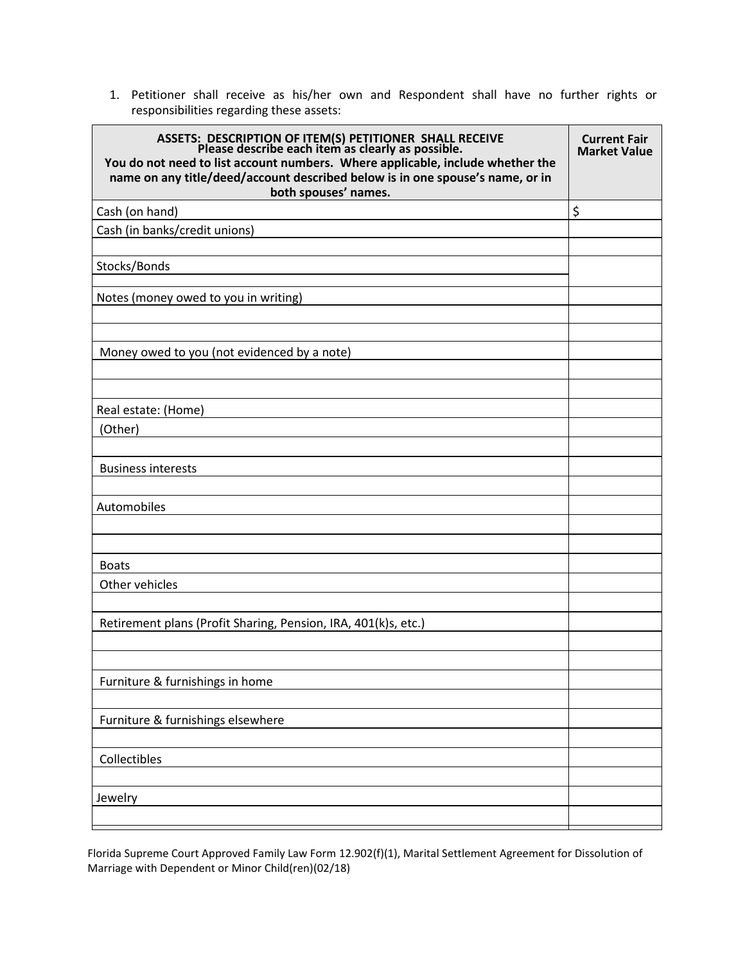1. Petitioner shall receive as his/her own and Respondent shall have no further rights or responsibilities regarding these assets:

| ASSETS: DESCRIPTION OF ITEM(S) PETITIONER SHALL RECEIVE<br>Please describe each item as clearly as possible.<br>You do not need to list account numbers. Where applicable, include whether the<br>name on any title/deed/account described below is in one spouse's name, or in<br>both spouses' names. | <b>Current Fair</b><br><b>Market Value</b> |
|---------------------------------------------------------------------------------------------------------------------------------------------------------------------------------------------------------------------------------------------------------------------------------------------------------|--------------------------------------------|
| Cash (on hand)                                                                                                                                                                                                                                                                                          | \$                                         |
| Cash (in banks/credit unions)                                                                                                                                                                                                                                                                           |                                            |
|                                                                                                                                                                                                                                                                                                         |                                            |
| Stocks/Bonds                                                                                                                                                                                                                                                                                            |                                            |
| Notes (money owed to you in writing)                                                                                                                                                                                                                                                                    |                                            |
|                                                                                                                                                                                                                                                                                                         |                                            |
|                                                                                                                                                                                                                                                                                                         |                                            |
| Money owed to you (not evidenced by a note)                                                                                                                                                                                                                                                             |                                            |
|                                                                                                                                                                                                                                                                                                         |                                            |
|                                                                                                                                                                                                                                                                                                         |                                            |
| Real estate: (Home)                                                                                                                                                                                                                                                                                     |                                            |
| (Other)                                                                                                                                                                                                                                                                                                 |                                            |
|                                                                                                                                                                                                                                                                                                         |                                            |
| <b>Business interests</b>                                                                                                                                                                                                                                                                               |                                            |
|                                                                                                                                                                                                                                                                                                         |                                            |
| Automobiles                                                                                                                                                                                                                                                                                             |                                            |
|                                                                                                                                                                                                                                                                                                         |                                            |
|                                                                                                                                                                                                                                                                                                         |                                            |
| <b>Boats</b>                                                                                                                                                                                                                                                                                            |                                            |
| Other vehicles                                                                                                                                                                                                                                                                                          |                                            |
|                                                                                                                                                                                                                                                                                                         |                                            |
| Retirement plans (Profit Sharing, Pension, IRA, 401(k)s, etc.)                                                                                                                                                                                                                                          |                                            |
|                                                                                                                                                                                                                                                                                                         |                                            |
|                                                                                                                                                                                                                                                                                                         |                                            |
| Furniture & furnishings in home                                                                                                                                                                                                                                                                         |                                            |
|                                                                                                                                                                                                                                                                                                         |                                            |
| Furniture & furnishings elsewhere                                                                                                                                                                                                                                                                       |                                            |
|                                                                                                                                                                                                                                                                                                         |                                            |
| Collectibles                                                                                                                                                                                                                                                                                            |                                            |
|                                                                                                                                                                                                                                                                                                         |                                            |
| Jewelry                                                                                                                                                                                                                                                                                                 |                                            |
|                                                                                                                                                                                                                                                                                                         |                                            |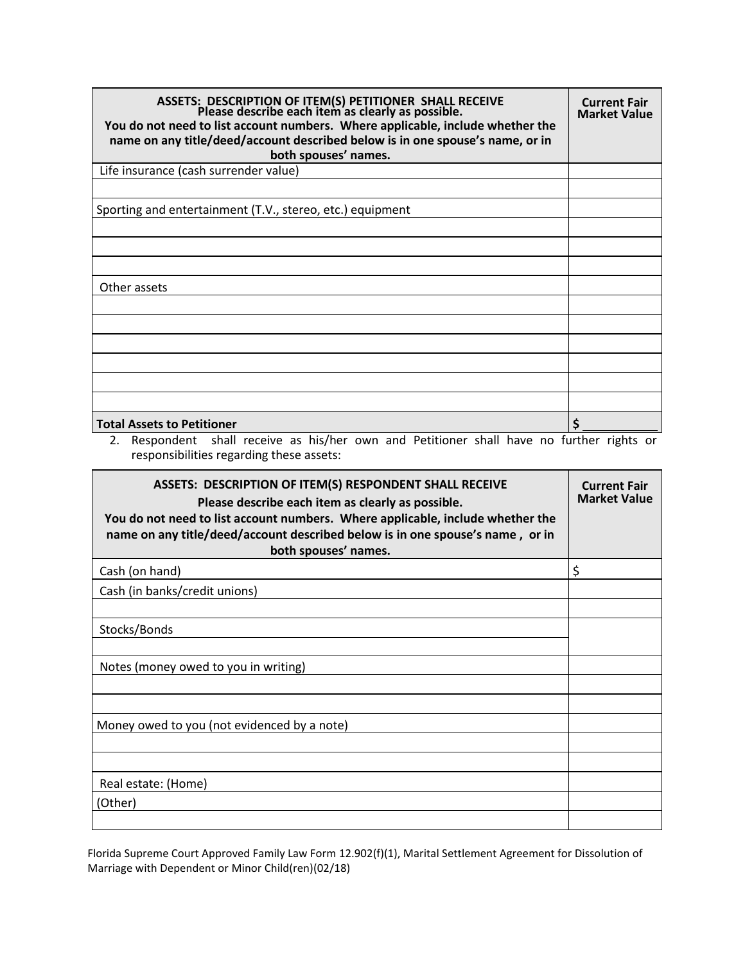| ASSETS: DESCRIPTION OF ITEM(S) PETITIONER SHALL RECEIVE<br>Please describe each item as clearly as possible.<br>You do not need to list account numbers. Where applicable, include whether the<br>name on any title/deed/account described below is in one spouse's name, or in<br>both spouses' names. | <b>Current Fair</b><br><b>Market Value</b> |
|---------------------------------------------------------------------------------------------------------------------------------------------------------------------------------------------------------------------------------------------------------------------------------------------------------|--------------------------------------------|
| Life insurance (cash surrender value)                                                                                                                                                                                                                                                                   |                                            |
|                                                                                                                                                                                                                                                                                                         |                                            |
| Sporting and entertainment (T.V., stereo, etc.) equipment                                                                                                                                                                                                                                               |                                            |
|                                                                                                                                                                                                                                                                                                         |                                            |
|                                                                                                                                                                                                                                                                                                         |                                            |
|                                                                                                                                                                                                                                                                                                         |                                            |
| Other assets                                                                                                                                                                                                                                                                                            |                                            |
|                                                                                                                                                                                                                                                                                                         |                                            |
|                                                                                                                                                                                                                                                                                                         |                                            |
|                                                                                                                                                                                                                                                                                                         |                                            |
|                                                                                                                                                                                                                                                                                                         |                                            |
|                                                                                                                                                                                                                                                                                                         |                                            |
|                                                                                                                                                                                                                                                                                                         |                                            |
| <b>Total Assets to Petitioner</b>                                                                                                                                                                                                                                                                       |                                            |

 2. Respondent shall receive as his/her own and Petitioner shall have no further rights or responsibilities regarding these assets:

| ASSETS: DESCRIPTION OF ITEM(S) RESPONDENT SHALL RECEIVE<br>Please describe each item as clearly as possible.<br>You do not need to list account numbers. Where applicable, include whether the<br>name on any title/deed/account described below is in one spouse's name, or in<br>both spouses' names. | <b>Current Fair</b><br><b>Market Value</b> |
|---------------------------------------------------------------------------------------------------------------------------------------------------------------------------------------------------------------------------------------------------------------------------------------------------------|--------------------------------------------|
| Cash (on hand)                                                                                                                                                                                                                                                                                          | \$                                         |
| Cash (in banks/credit unions)                                                                                                                                                                                                                                                                           |                                            |
|                                                                                                                                                                                                                                                                                                         |                                            |
| Stocks/Bonds                                                                                                                                                                                                                                                                                            |                                            |
|                                                                                                                                                                                                                                                                                                         |                                            |
| Notes (money owed to you in writing)                                                                                                                                                                                                                                                                    |                                            |
|                                                                                                                                                                                                                                                                                                         |                                            |
|                                                                                                                                                                                                                                                                                                         |                                            |
| Money owed to you (not evidenced by a note)                                                                                                                                                                                                                                                             |                                            |
|                                                                                                                                                                                                                                                                                                         |                                            |
|                                                                                                                                                                                                                                                                                                         |                                            |
| Real estate: (Home)                                                                                                                                                                                                                                                                                     |                                            |
| (Other)                                                                                                                                                                                                                                                                                                 |                                            |
|                                                                                                                                                                                                                                                                                                         |                                            |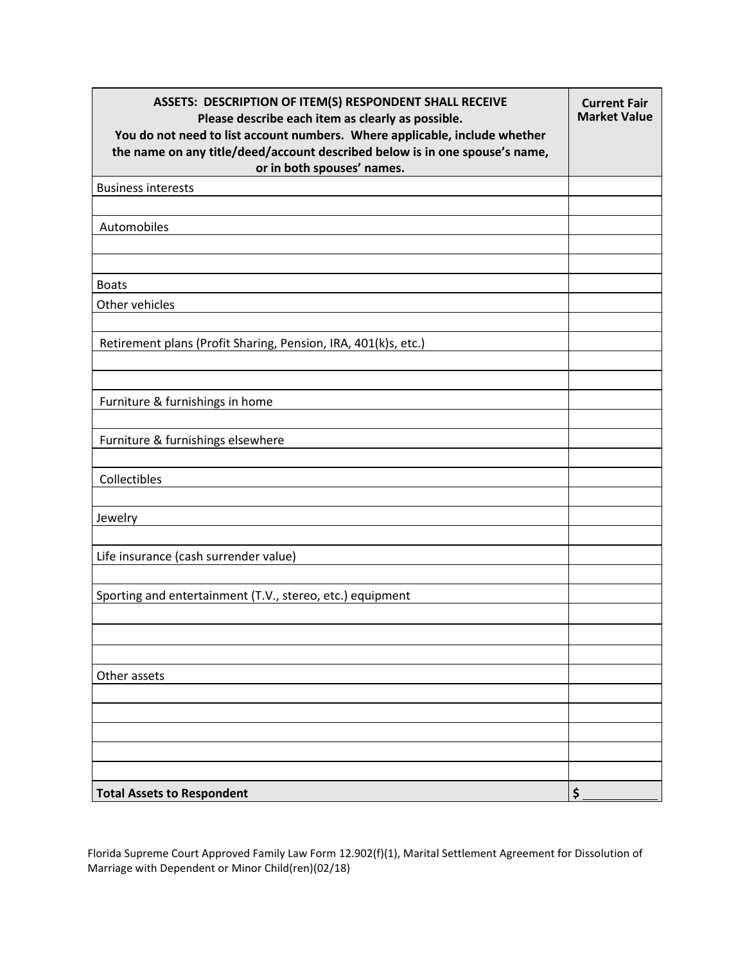| ASSETS: DESCRIPTION OF ITEM(S) RESPONDENT SHALL RECEIVE<br>Please describe each item as clearly as possible.<br>You do not need to list account numbers. Where applicable, include whether<br>the name on any title/deed/account described below is in one spouse's name,<br>or in both spouses' names. | <b>Current Fair</b><br><b>Market Value</b> |
|---------------------------------------------------------------------------------------------------------------------------------------------------------------------------------------------------------------------------------------------------------------------------------------------------------|--------------------------------------------|
| <b>Business interests</b>                                                                                                                                                                                                                                                                               |                                            |
|                                                                                                                                                                                                                                                                                                         |                                            |
| Automobiles                                                                                                                                                                                                                                                                                             |                                            |
|                                                                                                                                                                                                                                                                                                         |                                            |
| <b>Boats</b>                                                                                                                                                                                                                                                                                            |                                            |
| Other vehicles                                                                                                                                                                                                                                                                                          |                                            |
|                                                                                                                                                                                                                                                                                                         |                                            |
| Retirement plans (Profit Sharing, Pension, IRA, 401(k)s, etc.)                                                                                                                                                                                                                                          |                                            |
|                                                                                                                                                                                                                                                                                                         |                                            |
|                                                                                                                                                                                                                                                                                                         |                                            |
| Furniture & furnishings in home                                                                                                                                                                                                                                                                         |                                            |
|                                                                                                                                                                                                                                                                                                         |                                            |
| Furniture & furnishings elsewhere                                                                                                                                                                                                                                                                       |                                            |
|                                                                                                                                                                                                                                                                                                         |                                            |
| Collectibles                                                                                                                                                                                                                                                                                            |                                            |
| Jewelry                                                                                                                                                                                                                                                                                                 |                                            |
|                                                                                                                                                                                                                                                                                                         |                                            |
| Life insurance (cash surrender value)                                                                                                                                                                                                                                                                   |                                            |
|                                                                                                                                                                                                                                                                                                         |                                            |
| Sporting and entertainment (T.V., stereo, etc.) equipment                                                                                                                                                                                                                                               |                                            |
|                                                                                                                                                                                                                                                                                                         |                                            |
|                                                                                                                                                                                                                                                                                                         |                                            |
|                                                                                                                                                                                                                                                                                                         |                                            |
| Other assets                                                                                                                                                                                                                                                                                            |                                            |
|                                                                                                                                                                                                                                                                                                         |                                            |
|                                                                                                                                                                                                                                                                                                         |                                            |
|                                                                                                                                                                                                                                                                                                         |                                            |
|                                                                                                                                                                                                                                                                                                         |                                            |
| <b>Total Assets to Respondent</b>                                                                                                                                                                                                                                                                       | \$                                         |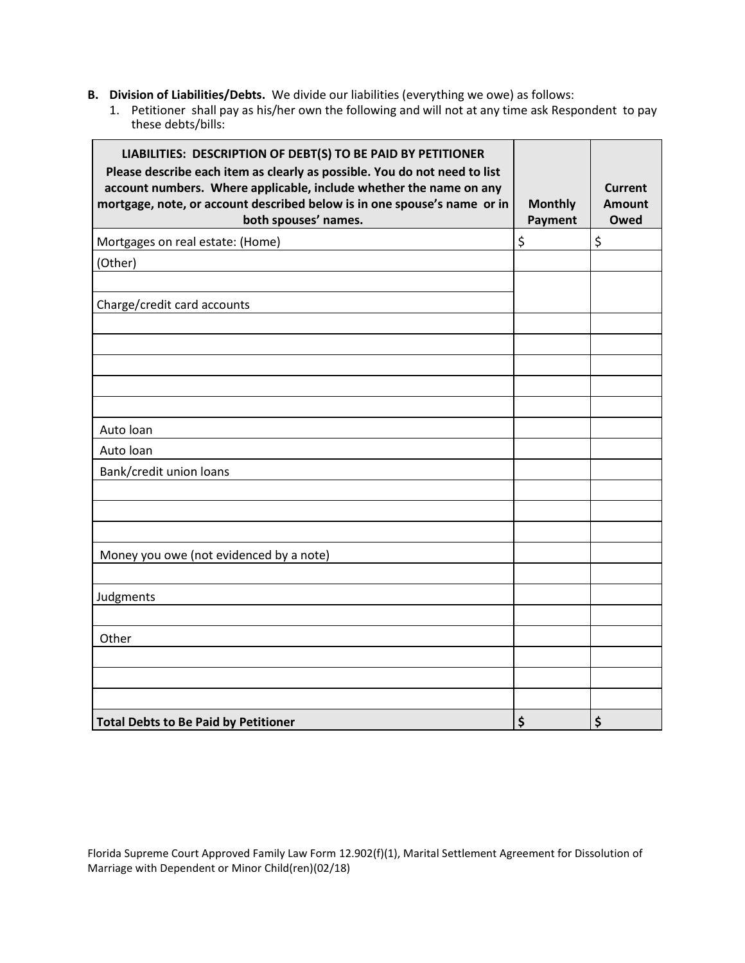- **B. Division of Liabilities/Debts.** We divide our liabilities (everything we owe) as follows:
	- í. 1. Petitioner shall pay as his/her own the following and will not at any time ask Respondent to pay these debts/bills:

| LIABILITIES: DESCRIPTION OF DEBT(S) TO BE PAID BY PETITIONER<br>Please describe each item as clearly as possible. You do not need to list<br>account numbers. Where applicable, include whether the name on any<br>mortgage, note, or account described below is in one spouse's name or in<br>both spouses' names. | <b>Monthly</b><br>Payment | Current<br><b>Amount</b><br>Owed |
|---------------------------------------------------------------------------------------------------------------------------------------------------------------------------------------------------------------------------------------------------------------------------------------------------------------------|---------------------------|----------------------------------|
| Mortgages on real estate: (Home)                                                                                                                                                                                                                                                                                    | \$                        | \$                               |
| (Other)                                                                                                                                                                                                                                                                                                             |                           |                                  |
|                                                                                                                                                                                                                                                                                                                     |                           |                                  |
| Charge/credit card accounts                                                                                                                                                                                                                                                                                         |                           |                                  |
|                                                                                                                                                                                                                                                                                                                     |                           |                                  |
|                                                                                                                                                                                                                                                                                                                     |                           |                                  |
|                                                                                                                                                                                                                                                                                                                     |                           |                                  |
|                                                                                                                                                                                                                                                                                                                     |                           |                                  |
|                                                                                                                                                                                                                                                                                                                     |                           |                                  |
| Auto loan                                                                                                                                                                                                                                                                                                           |                           |                                  |
| Auto loan                                                                                                                                                                                                                                                                                                           |                           |                                  |
| Bank/credit union loans                                                                                                                                                                                                                                                                                             |                           |                                  |
|                                                                                                                                                                                                                                                                                                                     |                           |                                  |
|                                                                                                                                                                                                                                                                                                                     |                           |                                  |
|                                                                                                                                                                                                                                                                                                                     |                           |                                  |
| Money you owe (not evidenced by a note)                                                                                                                                                                                                                                                                             |                           |                                  |
|                                                                                                                                                                                                                                                                                                                     |                           |                                  |
| Judgments                                                                                                                                                                                                                                                                                                           |                           |                                  |
|                                                                                                                                                                                                                                                                                                                     |                           |                                  |
| Other                                                                                                                                                                                                                                                                                                               |                           |                                  |
|                                                                                                                                                                                                                                                                                                                     |                           |                                  |
|                                                                                                                                                                                                                                                                                                                     |                           |                                  |
|                                                                                                                                                                                                                                                                                                                     |                           |                                  |
| <b>Total Debts to Be Paid by Petitioner</b>                                                                                                                                                                                                                                                                         | \$                        | \$                               |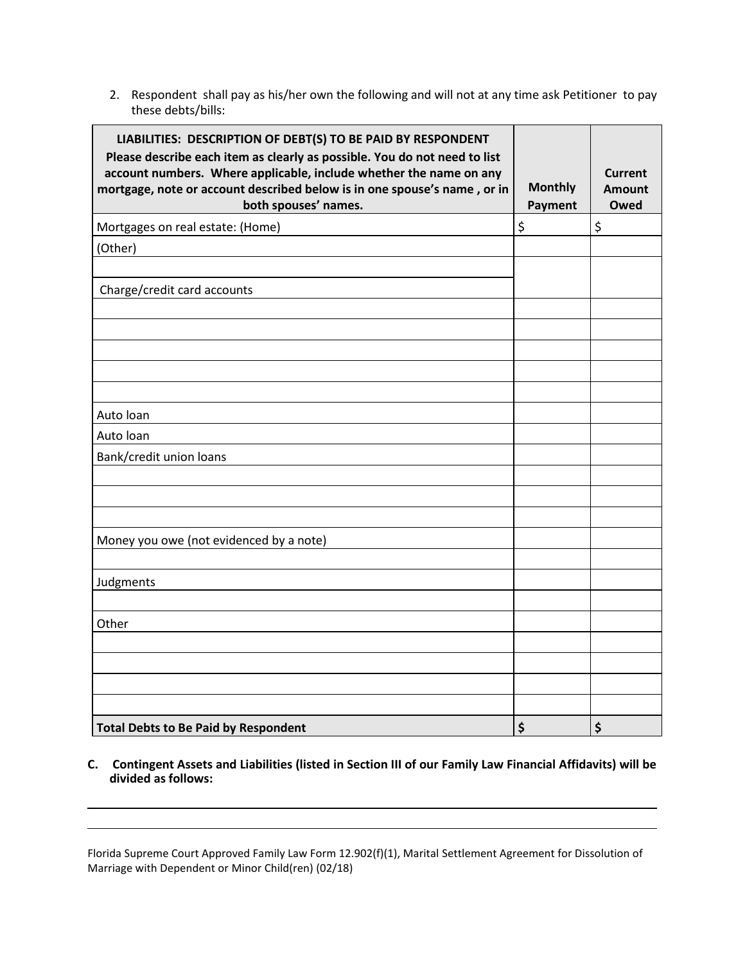2. Respondent shall pay as his/her own the following and will not at any time ask Petitioner to pay these debts/bills:

| LIABILITIES: DESCRIPTION OF DEBT(S) TO BE PAID BY RESPONDENT<br>Please describe each item as clearly as possible. You do not need to list<br>account numbers. Where applicable, include whether the name on any<br>mortgage, note or account described below is in one spouse's name, or in<br>both spouses' names. | <b>Monthly</b><br>Payment | Current<br><b>Amount</b><br>Owed |
|---------------------------------------------------------------------------------------------------------------------------------------------------------------------------------------------------------------------------------------------------------------------------------------------------------------------|---------------------------|----------------------------------|
| Mortgages on real estate: (Home)                                                                                                                                                                                                                                                                                    | \$                        | \$                               |
| (Other)                                                                                                                                                                                                                                                                                                             |                           |                                  |
| Charge/credit card accounts                                                                                                                                                                                                                                                                                         |                           |                                  |
|                                                                                                                                                                                                                                                                                                                     |                           |                                  |
|                                                                                                                                                                                                                                                                                                                     |                           |                                  |
|                                                                                                                                                                                                                                                                                                                     |                           |                                  |
|                                                                                                                                                                                                                                                                                                                     |                           |                                  |
|                                                                                                                                                                                                                                                                                                                     |                           |                                  |
| Auto loan                                                                                                                                                                                                                                                                                                           |                           |                                  |
| Auto loan                                                                                                                                                                                                                                                                                                           |                           |                                  |
| Bank/credit union loans                                                                                                                                                                                                                                                                                             |                           |                                  |
|                                                                                                                                                                                                                                                                                                                     |                           |                                  |
|                                                                                                                                                                                                                                                                                                                     |                           |                                  |
|                                                                                                                                                                                                                                                                                                                     |                           |                                  |
| Money you owe (not evidenced by a note)                                                                                                                                                                                                                                                                             |                           |                                  |
|                                                                                                                                                                                                                                                                                                                     |                           |                                  |
| Judgments                                                                                                                                                                                                                                                                                                           |                           |                                  |
|                                                                                                                                                                                                                                                                                                                     |                           |                                  |
| Other                                                                                                                                                                                                                                                                                                               |                           |                                  |
|                                                                                                                                                                                                                                                                                                                     |                           |                                  |
|                                                                                                                                                                                                                                                                                                                     |                           |                                  |
|                                                                                                                                                                                                                                                                                                                     |                           |                                  |
|                                                                                                                                                                                                                                                                                                                     |                           |                                  |
| <b>Total Debts to Be Paid by Respondent</b>                                                                                                                                                                                                                                                                         | \$                        | \$                               |

 **C. Contingent Assets and Liabilities (listed in Section III of our Family Law Financial Affidavits) will be divided as follows:** 

Florida Supreme Court Approved Family Law Form 12.902(f)(1), Marital Settlement Agreement for Dissolution of Marriage with Dependent or Minor Child(ren) (02/18)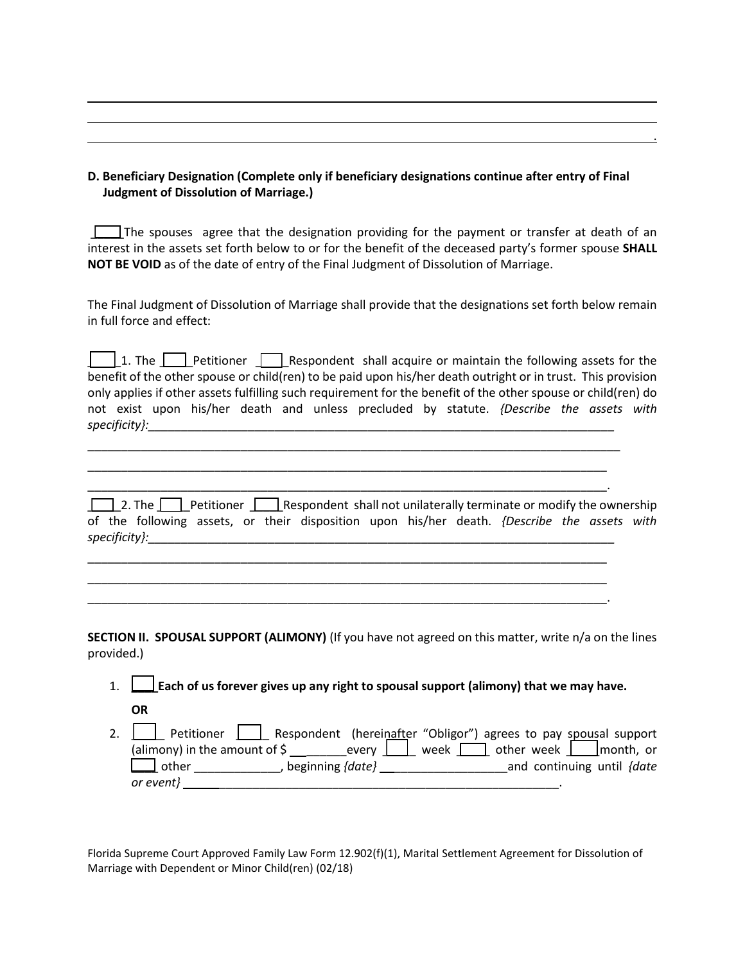|                                       | D. Beneficiary Designation (Complete only if beneficiary designations continue after entry of Final |
|---------------------------------------|-----------------------------------------------------------------------------------------------------|
| Judgment of Dissolution of Marriage.) |                                                                                                     |

 \_\_\_\_\_The spouses agree that the designation providing for the payment or transfer at death of an interest in the assets set forth below to or for the benefit of the deceased party's former spouse **SHALL NOT BE VOID** as of the date of entry of the Final Judgment of Dissolution of Marriage.

.

The Final Judgment of Dissolution of Marriage shall provide that the designations set forth below remain in full force and effect:

|  |               |  |  |  | $\Box$ 1. The $\Box$ Petitioner $\Box$ Respondent shall acquire or maintain the following assets for the      |  |  |  |
|--|---------------|--|--|--|---------------------------------------------------------------------------------------------------------------|--|--|--|
|  |               |  |  |  | benefit of the other spouse or child(ren) to be paid upon his/her death outright or in trust. This provision  |  |  |  |
|  |               |  |  |  | only applies if other assets fulfilling such requirement for the benefit of the other spouse or child(ren) do |  |  |  |
|  |               |  |  |  | not exist upon his/her death and unless precluded by statute. {Describe the assets with                       |  |  |  |
|  | specificity}: |  |  |  |                                                                                                               |  |  |  |

\_\_\_\_\_\_\_\_\_\_\_\_\_\_\_\_\_\_\_\_\_\_\_\_\_\_\_\_\_\_\_\_\_\_\_\_\_\_\_\_\_\_\_\_\_\_\_\_\_\_\_\_\_\_\_\_\_\_\_\_\_\_\_\_\_\_\_\_\_\_\_\_\_\_\_\_\_\_\_\_ \_\_\_\_\_\_\_\_\_\_\_\_\_\_\_\_\_\_\_\_\_\_\_\_\_\_\_\_\_\_\_\_\_\_\_\_\_\_\_\_\_\_\_\_\_\_\_\_\_\_\_\_\_\_\_\_\_\_\_\_\_\_\_\_\_\_\_\_\_\_\_\_\_\_\_\_\_\_

\_\_\_\_\_\_\_\_\_\_\_\_\_\_\_\_\_\_\_\_\_\_\_\_\_\_\_\_\_\_\_\_\_\_\_\_\_\_\_\_\_\_\_\_\_\_\_\_\_\_\_\_\_\_\_\_\_\_\_\_\_\_\_\_\_\_\_\_\_\_\_\_\_\_\_\_\_\_ \_\_\_\_\_\_\_\_\_\_\_\_\_\_\_\_\_\_\_\_\_\_\_\_\_\_\_\_\_\_\_\_\_\_\_\_\_\_\_\_\_\_\_\_\_\_\_\_\_\_\_\_\_\_\_\_\_\_\_\_\_\_\_\_\_\_\_\_\_\_\_\_\_\_\_\_\_\_

\_\_\_\_\_\_\_\_\_\_\_\_\_\_\_\_\_\_\_\_\_\_\_\_\_\_\_\_\_\_\_\_\_\_\_\_\_\_\_\_\_\_\_\_\_\_\_\_\_\_\_\_\_\_\_\_\_\_\_\_\_\_\_\_\_\_\_\_\_\_\_\_\_\_\_\_\_\_.

|  |               |  | 2. The Petitioner Respondent shall not unilaterally terminate or modify the ownership              |  |  |  |  |
|--|---------------|--|----------------------------------------------------------------------------------------------------|--|--|--|--|
|  |               |  | of the following assets, or their disposition upon his/her death. <i>{Describe the assets with</i> |  |  |  |  |
|  | specificity}: |  |                                                                                                    |  |  |  |  |

\_\_\_\_\_\_\_\_\_\_\_\_\_\_\_\_\_\_\_\_\_\_\_\_\_\_\_\_\_\_\_\_\_\_\_\_\_\_\_\_\_\_\_\_\_\_\_\_\_\_\_\_\_\_\_\_\_\_\_\_\_\_\_\_\_\_\_\_\_\_\_\_\_\_\_\_\_\_.

 **SECTION II. SPOUSAL SUPPORT (ALIMONY)** (If you have not agreed on this matter, write n/a on the lines provided.)

1. **\_\_\_\_Each of us forever gives up any right to spousal support (alimony) that we may have.** 

**OR** 

| 2. $\Box$ Petitioner $\Box$ Respondent (hereinafter "Obligor") agrees to pay spousal support                                               |  |                                   |  |
|--------------------------------------------------------------------------------------------------------------------------------------------|--|-----------------------------------|--|
| (alimony) in the amount of $\frac{1}{2}$ every $\boxed{\phantom{0}}$ week $\boxed{\phantom{0}}$ other week $\boxed{\phantom{0}}$ month, or |  |                                   |  |
| $\Box$ other $\qquad \qquad$ , beginning $\{date\}$ $\qquad \qquad$                                                                        |  | and continuing until <i>{date</i> |  |
| or event}                                                                                                                                  |  |                                   |  |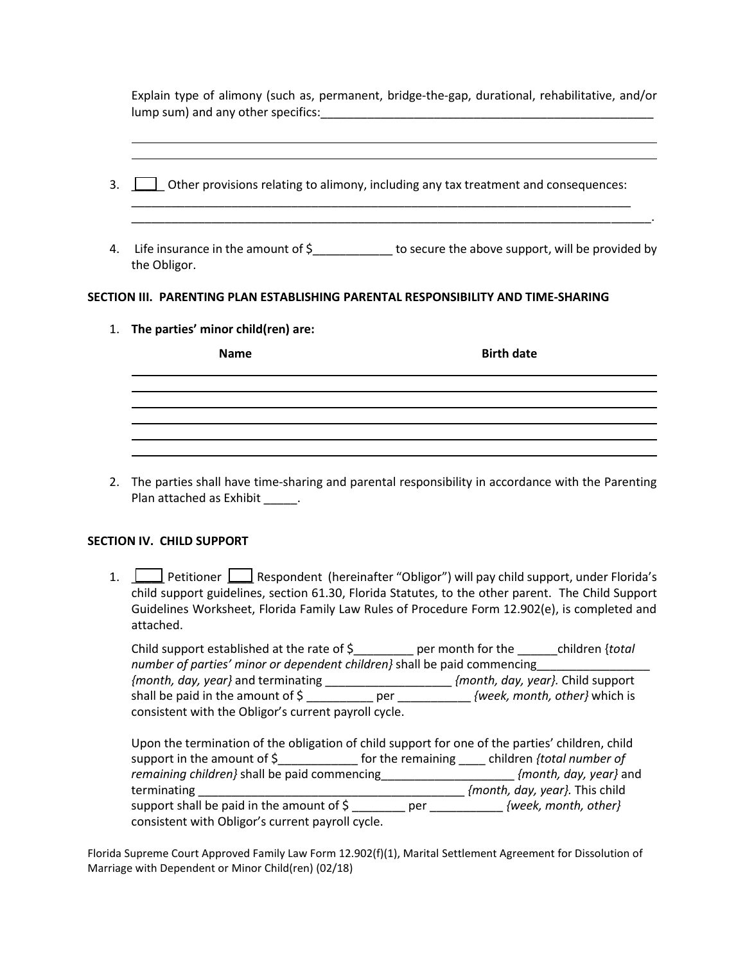Explain type of alimony (such as, permanent, bridge-the-gap, durational, rehabilitative, and/or lump sum) and any other specifics:\_\_\_\_\_\_\_\_\_\_\_\_\_\_\_\_\_\_\_\_\_\_\_\_\_\_\_\_\_\_\_\_\_\_\_\_\_\_\_\_\_\_\_\_\_\_\_\_\_\_

- \_\_\_\_\_\_\_\_\_\_\_\_\_\_\_\_\_\_\_\_\_\_\_\_\_\_\_\_\_\_\_\_\_\_\_\_\_\_\_\_\_\_\_\_\_\_\_\_\_\_\_\_\_\_\_\_\_\_\_\_\_\_\_\_\_\_\_\_\_\_\_\_\_\_\_ 3.  $\Box$  Other provisions relating to alimony, including any tax treatment and consequences:
- 4. Life insurance in the amount of \$\_\_\_\_\_\_\_\_\_\_\_\_ to secure the above support, will be provided by the Obligor.

\_\_\_\_\_\_\_\_\_\_\_\_\_\_\_\_\_\_\_\_\_\_\_\_\_\_\_\_\_\_\_\_\_\_\_\_\_\_\_\_\_\_\_\_\_\_\_\_\_\_\_\_\_\_\_\_\_\_\_\_\_\_\_\_\_\_\_\_\_\_\_\_\_\_\_\_\_\_.

#### **SECTION III. PARENTING PLAN ESTABLISHING PARENTAL RESPONSIBILITY AND TIME-SHARING**

 1. **The parties' minor child(ren) are:** 

| <b>Name</b> | <b>Birth date</b> |
|-------------|-------------------|
|             |                   |
|             |                   |
|             |                   |
|             |                   |
|             |                   |

 2. The parties shall have time-sharing and parental responsibility in accordance with the Parenting Plan attached as Exhibit \_\_\_\_\_.

#### **SECTION IV. CHILD SUPPORT**

1. **II. LEGO** Petitioner **LEG** Respondent (hereinafter "Obligor") will pay child support, under Florida's child support guidelines, section 61.30, Florida Statutes, to the other parent. The Child Support Guidelines Worksheet, Florida Family Law Rules of Procedure Form 12.902(e), is completed and attached.

 Child support established at the rate of \$\_\_\_\_\_\_\_\_\_ per month for the \_\_\_\_\_\_children {*total {month, day, year}* and terminating \_\_\_\_\_\_\_\_\_\_\_\_\_\_\_\_\_\_\_ *{month, day, year}.* Child support *number of parties' minor or dependent children}* shall be paid commencing shall be paid in the amount of \$ \_\_\_\_\_\_\_\_\_\_ per \_\_\_\_\_\_\_\_\_\_\_ *{week, month, other}* which is consistent with the Obligor's current payroll cycle.

| Upon the termination of the obligation of child support for one of the parties' children, child |                   |                                  |
|-------------------------------------------------------------------------------------------------|-------------------|----------------------------------|
| support in the amount of $\frac{1}{2}$                                                          | for the remaining | children <i>{total number of</i> |
| remaining children} shall be paid commencing                                                    |                   | {month, day, year} and           |
| terminating                                                                                     |                   | {month, day, year}. This child   |
| support shall be paid in the amount of \$                                                       | per               | {week, month, other}             |
| consistent with Obligor's current payroll cycle.                                                |                   |                                  |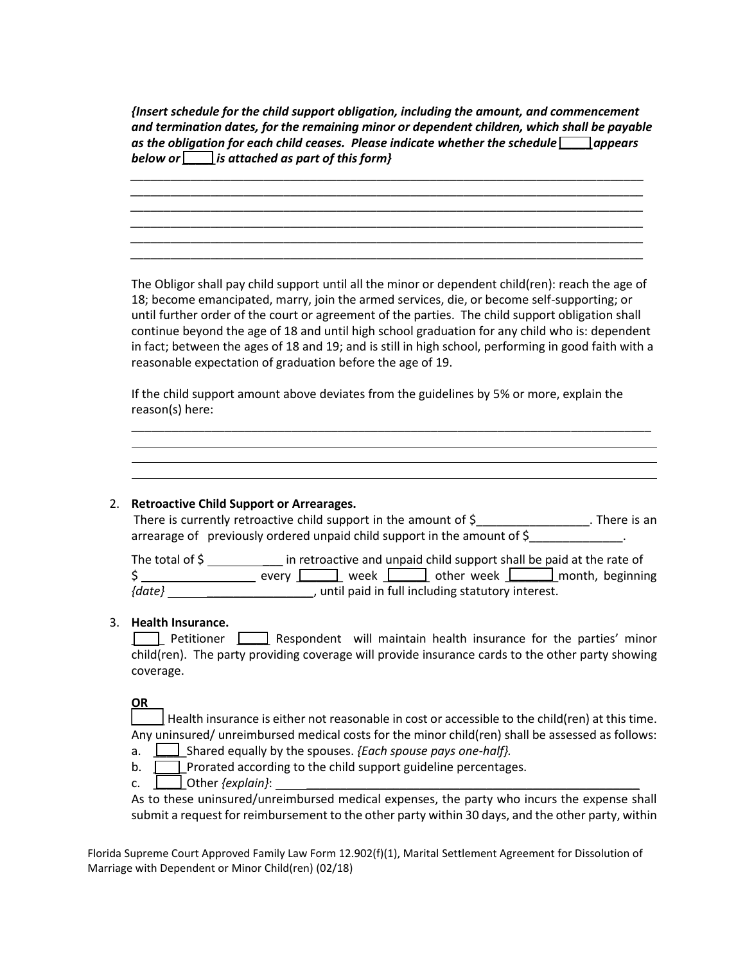*{Insert schedule for the child support obligation, including the amount, and commencement and termination dates, for the remaining minor or dependent children, which shall be payable as the obligation for each child ceases. Please indicate whether the schedule \_\_\_\_\_appears below or \_\_\_\_\_is attached as part of this form}* 

*\_\_\_\_\_\_\_\_\_\_\_\_\_\_\_\_\_\_\_\_\_\_\_\_\_\_\_\_\_\_\_\_\_\_\_\_\_\_\_\_\_\_\_\_\_\_\_\_\_\_\_\_\_\_\_\_\_\_\_\_\_\_\_\_\_\_\_\_\_\_\_\_\_\_\_\_\_ \_\_\_\_\_\_\_\_\_\_\_\_\_\_\_\_\_\_\_\_\_\_\_\_\_\_\_\_\_\_\_\_\_\_\_\_\_\_\_\_\_\_\_\_\_\_\_\_\_\_\_\_\_\_\_\_\_\_\_\_\_\_\_\_\_\_\_\_\_\_\_\_\_\_\_\_\_* 

*\_\_\_\_\_\_\_\_\_\_\_\_\_\_\_\_\_\_\_\_\_\_\_\_\_\_\_\_\_\_\_\_\_\_\_\_\_\_\_\_\_\_\_\_\_\_\_\_\_\_\_\_\_\_\_\_\_\_\_\_\_\_\_\_\_\_\_\_\_\_\_\_\_\_\_\_\_ \_\_\_\_\_\_\_\_\_\_\_\_\_\_\_\_\_\_\_\_\_\_\_\_\_\_\_\_\_\_\_\_\_\_\_\_\_\_\_\_\_\_\_\_\_\_\_\_\_\_\_\_\_\_\_\_\_\_\_\_\_\_\_\_\_\_\_\_\_\_\_\_\_\_\_\_\_ \_\_\_\_\_\_\_\_\_\_\_\_\_\_\_\_\_\_\_\_\_\_\_\_\_\_\_\_\_\_\_\_\_\_\_\_\_\_\_\_\_\_\_\_\_\_\_\_\_\_\_\_\_\_\_\_\_\_\_\_\_\_\_\_\_\_\_\_\_\_\_\_\_\_\_\_\_* 

 The Obligor shall pay child support until all the minor or dependent child(ren): reach the age of in fact; between the ages of 18 and 19; and is still in high school, performing in good faith with a [Insert schedule for the child support obligation, including the amount, and commencement<br>and termination dates, for the remaining minor or dependent children, which shall be payable<br>below or  $\Box$  is attached as part of th 18; become emancipated, marry, join the armed services, die, or become self-supporting; or until further order of the court or agreement of the parties. The child support obligation shall continue beyond the age of 18 and until high school graduation for any child who is: dependent reasonable expectation of graduation before the age of 19.

 If the child support amount above deviates from the guidelines by 5% or more, explain the reason(s) here:

#### 2. **Retroactive Child Support or Arrearages.**

arrearage of previously ordered unpaid child support in the amount of \$\_\_\_\_\_\_\_\_\_\_\_\_\_\_. There is currently retroactive child support in the amount of \$\_\_\_\_\_\_\_\_\_\_\_\_\_\_\_\_\_. There is an

The total of \$ \_\_\_\_\_\_\_\_\_\_\_\_\_ in retroactive and unpaid child support shall be paid at the rate of  $\text{\^{S}}$  \_\_\_\_\_\_\_\_\_\_\_\_\_\_\_\_\_\_ every  $\begin{bmatrix} \begin{array}{|c|c|c|}\end{array} \end{bmatrix}$  week  $\begin{bmatrix} \begin{array}{|c|c|c|}\end{array} \end{bmatrix}$  other week  $\begin{bmatrix} \begin{array}{|c|c|c|}\end{array} \end{bmatrix}$  month, beginning *{date}* \_\_\_\_\_\_\_\_\_\_\_\_\_\_\_\_, until paid in full including statutory interest.

#### 3. **Health Insurance.**

**The Luiss** Petitioner **Luiss** Respondent will maintain health insurance for the parties' minor child(ren). The party providing coverage will provide insurance cards to the other party showing coverage.

**OR** 

 $\Box$  Health insurance is either not reasonable in cost or accessible to the child(ren) at this time. Any uninsured/ unreimbursed medical costs for the minor child(ren) shall be assessed as follows:

- a.  $\Box$  Shared equally by the spouses. *{Each spouse pays one-half}.*
- b. **Dependies 2** Prorated according to the child support guideline percentages.
- c. **\_\_\_\_**\_Other *{explain}*: \_\_\_

 As to these uninsured/unreimbursed medical expenses, the party who incurs the expense shall submit a request for reimbursement to the other party within 30 days, and the other party, within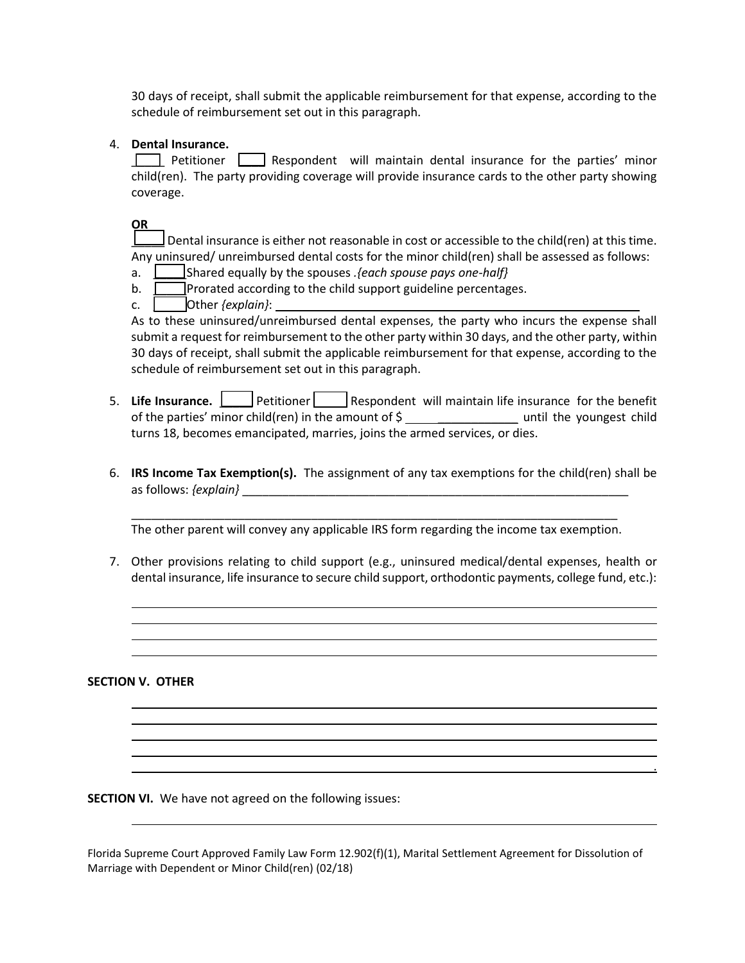30 days of receipt, shall submit the applicable reimbursement for that expense, according to the schedule of reimbursement set out in this paragraph.

#### 4. **Dental Insurance.**

**The Petitioner | Respondent** will maintain dental insurance for the parties' minor child(ren). The party providing coverage will provide insurance cards to the other party showing coverage.

**OR** 

Dental insurance is either not reasonable in cost or accessible to the child(ren) at this time. Any uninsured/ unreimbursed dental costs for the minor child(ren) shall be assessed as follows:

- a. \_\_\_\_\_Shared equally by the spouses *.{each spouse pays one-half}*
- b. **The Proport according to the child support guideline percentages.**
- c.  $\Box$  **Other** *{explain}*:

 As to these uninsured/unreimbursed dental expenses, the party who incurs the expense shall submit a request for reimbursement to the other party within 30 days, and the other party, within 30 days of receipt, shall submit the applicable reimbursement for that expense, according to the schedule of reimbursement set out in this paragraph.

- 5. Life Insurance. **I** Petitioner **Surfer Lines Sependent** will maintain life insurance for the benefit of the parties' minor child(ren) in the amount of  $\zeta$  \_\_\_\_\_\_\_\_\_\_\_\_\_\_\_\_\_\_\_\_\_\_\_ until the youngest child turns 18, becomes emancipated, marries, joins the armed services, or dies.
- 6. **IRS Income Tax Exemption(s).** The assignment of any tax exemptions for the child(ren) shall be as follows: *{explain}* \_\_\_\_\_\_\_\_\_\_\_\_\_\_\_\_\_\_\_\_\_\_\_\_\_\_\_\_\_\_\_\_\_\_\_\_\_\_\_\_\_\_\_\_\_\_\_\_\_\_\_\_\_\_\_\_\_\_

\_\_\_\_\_\_\_\_\_\_\_\_\_\_\_\_\_\_\_\_\_\_\_\_\_\_\_\_\_\_\_\_\_\_\_\_\_\_\_\_\_\_\_\_\_\_\_\_\_\_\_\_\_\_\_\_\_\_\_\_\_\_\_\_\_\_\_\_\_\_\_\_\_ The other parent will convey any applicable IRS form regarding the income tax exemption.

 7. Other provisions relating to child support (e.g., uninsured medical/dental expenses, health or dental insurance, life insurance to secure child support, orthodontic payments, college fund, etc.):

 **SECTION V. OTHER** 

**SECTION VI.** We have not agreed on the following issues:

Florida Supreme Court Approved Family Law Form 12.902(f)(1), Marital Settlement Agreement for Dissolution of Marriage with Dependent or Minor Child(ren) (02/18)

.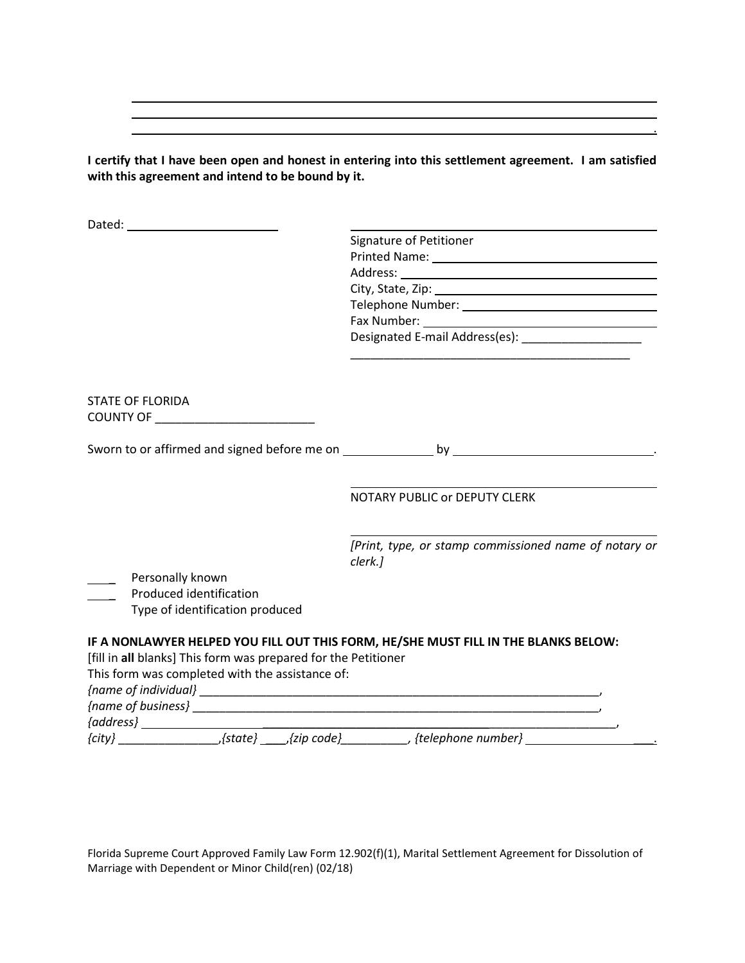**I certify that I have been open and honest in entering into this settlement agreement. I am satisfied with this agreement and intend to be bound by it.** 

.

|                                                                | Signature of Petitioner                                                             |
|----------------------------------------------------------------|-------------------------------------------------------------------------------------|
|                                                                |                                                                                     |
|                                                                |                                                                                     |
|                                                                |                                                                                     |
|                                                                |                                                                                     |
|                                                                |                                                                                     |
|                                                                | Designated E-mail Address(es): ___________________                                  |
|                                                                |                                                                                     |
| <b>STATE OF FLORIDA</b>                                        |                                                                                     |
| COUNTY OF _____________________________                        |                                                                                     |
|                                                                |                                                                                     |
|                                                                | NOTARY PUBLIC or DEPUTY CLERK                                                       |
|                                                                | [Print, type, or stamp commissioned name of notary or<br>clerk.]                    |
| Personally known                                               |                                                                                     |
| Produced identification                                        |                                                                                     |
| Type of identification produced                                |                                                                                     |
|                                                                |                                                                                     |
|                                                                | IF A NONLAWYER HELPED YOU FILL OUT THIS FORM, HE/SHE MUST FILL IN THE BLANKS BELOW: |
| [fill in all blanks] This form was prepared for the Petitioner |                                                                                     |
| This form was completed with the assistance of:                |                                                                                     |
|                                                                |                                                                                     |
|                                                                |                                                                                     |
|                                                                |                                                                                     |
|                                                                |                                                                                     |